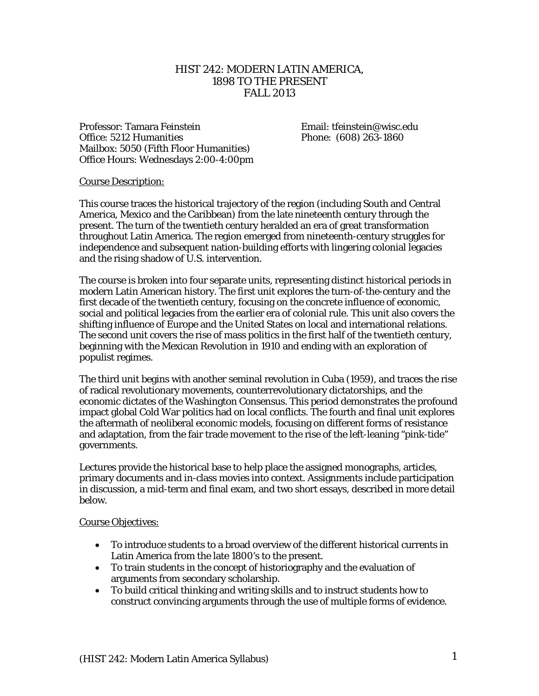## HIST 242: MODERN LATIN AMERICA, 1898 TO THE PRESENT FALL 2013

Professor: Tamara Feinstein Fundition Email: tfeinstein@wisc.edu Office: 5212 Humanities Phone: (608) 263-1860 Mailbox: 5050 (Fifth Floor Humanities) Office Hours: Wednesdays 2:00-4:00pm

#### Course Description:

This course traces the historical trajectory of the region (including South and Central America, Mexico and the Caribbean) from the late nineteenth century through the present. The turn of the twentieth century heralded an era of great transformation throughout Latin America. The region emerged from nineteenth-century struggles for independence and subsequent nation-building efforts with lingering colonial legacies and the rising shadow of U.S. intervention.

The course is broken into four separate units, representing distinct historical periods in modern Latin American history. The first unit explores the turn-of-the-century and the first decade of the twentieth century, focusing on the concrete influence of economic, social and political legacies from the earlier era of colonial rule. This unit also covers the shifting influence of Europe and the United States on local and international relations. The second unit covers the rise of mass politics in the first half of the twentieth century, beginning with the Mexican Revolution in 1910 and ending with an exploration of populist regimes.

The third unit begins with another seminal revolution in Cuba (1959), and traces the rise of radical revolutionary movements, counterrevolutionary dictatorships, and the economic dictates of the Washington Consensus. This period demonstrates the profound impact global Cold War politics had on local conflicts. The fourth and final unit explores the aftermath of neoliberal economic models, focusing on different forms of resistance and adaptation, from the fair trade movement to the rise of the left-leaning "pink-tide" governments.

Lectures provide the historical base to help place the assigned monographs, articles, primary documents and in-class movies into context. Assignments include participation in discussion, a mid-term and final exam, and two short essays, described in more detail below.

#### Course Objectives:

- To introduce students to a broad overview of the different historical currents in Latin America from the late 1800's to the present.
- To train students in the concept of historiography and the evaluation of arguments from secondary scholarship.
- To build critical thinking and writing skills and to instruct students how to construct convincing arguments through the use of multiple forms of evidence.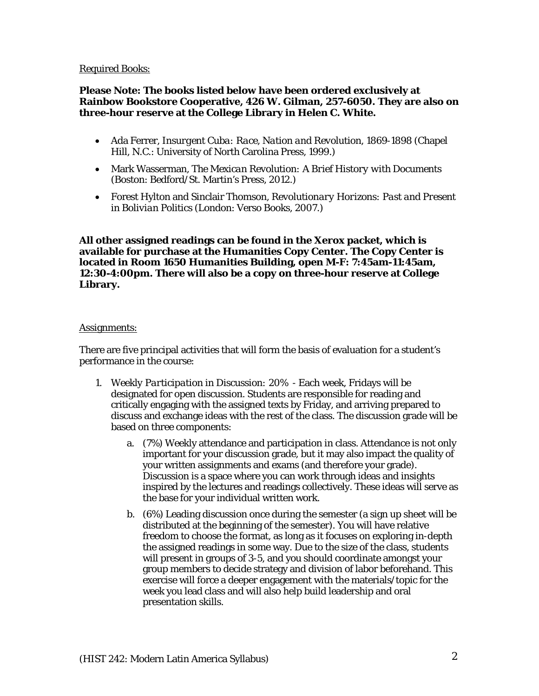#### Required Books:

#### **Please Note: The books listed below have been ordered exclusively at Rainbow Bookstore Cooperative, 426 W. Gilman, 257-6050. They are also on three-hour reserve at the College Library in Helen C. White.**

- Ada Ferrer, *Insurgent Cuba: Race, Nation and Revolution, 1869-1898* (Chapel Hill, N.C.: University of North Carolina Press, 1999.)
- Mark Wasserman, *The Mexican Revolution: A Brief History with Documents*  (Boston: Bedford/St. Martin's Press, 2012.)
- Forest Hylton and Sinclair Thomson, *Revolutionary Horizons: Past and Present in Bolivian Politics* (London: Verso Books, 2007.)

**All other assigned readings can be found in the Xerox packet, which is available for purchase at the Humanities Copy Center. The Copy Center is located in Room 1650 Humanities Building, open M-F: 7:45am-11:45am, 12:30-4:00pm. There will also be a copy on three-hour reserve at College Library.** 

#### Assignments:

There are five principal activities that will form the basis of evaluation for a student's performance in the course:

- 1. *Weekly Participation in Discussion: 20%* Each week, Fridays will be designated for open discussion. Students are responsible for reading and critically engaging with the assigned texts by Friday, and arriving prepared to discuss and exchange ideas with the rest of the class. The discussion grade will be based on three components:
	- a. (7%) Weekly attendance and participation in class. Attendance is not only important for your discussion grade, but it may also impact the quality of your written assignments and exams (and therefore your grade). Discussion is a space where you can work through ideas and insights inspired by the lectures and readings collectively. These ideas will serve as the base for your individual written work.
	- b. (6%) Leading discussion once during the semester (a sign up sheet will be distributed at the beginning of the semester). You will have relative freedom to choose the format, as long as it focuses on exploring in-depth the assigned readings in some way. Due to the size of the class, students will present in groups of 3-5, and you should coordinate amongst your group members to decide strategy and division of labor beforehand. This exercise will force a deeper engagement with the materials/topic for the week you lead class and will also help build leadership and oral presentation skills.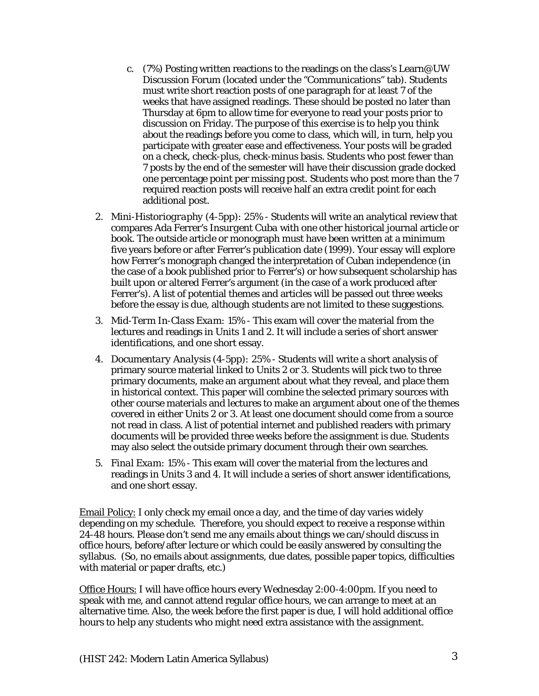- c. (7%) Posting written reactions to the readings on the class's Learn@UW Discussion Forum (located under the "Communications" tab). Students must write short reaction posts of one paragraph for at least 7 of the weeks that have assigned readings. These should be posted no later than Thursday at 6pm to allow time for everyone to read your posts prior to discussion on Friday. The purpose of this exercise is to help you think about the readings before you come to class, which will, in turn, help you participate with greater ease and effectiveness. Your posts will be graded on a check, check-plus, check-minus basis. Students who post fewer than 7 posts by the end of the semester will have their discussion grade docked one percentage point per missing post. Students who post more than the 7 required reaction posts will receive half an extra credit point for each additional post.
- 2. *Mini*-*Historiography (4-5pp): 25%* Students will write an analytical review that compares Ada Ferrer's *Insurgent Cuba* with one other historical journal article or book. The outside article or monograph must have been written at a minimum five years before or after Ferrer's publication date (1999). Your essay will explore how Ferrer's monograph changed the interpretation of Cuban independence (in the case of a book published prior to Ferrer's) or how subsequent scholarship has built upon or altered Ferrer's argument (in the case of a work produced after Ferrer's). A list of potential themes and articles will be passed out three weeks before the essay is due, although students are not limited to these suggestions.
- 3. *Mid-Term In-Class Exam: 15%* This exam will cover the material from the lectures and readings in Units 1 and 2. It will include a series of short answer identifications, and one short essay.
- 4. *Documentary Analysis (4-5pp): 25%* Students will write a short analysis of primary source material linked to Units 2 or 3. Students will pick two to three primary documents, make an argument about what they reveal, and place them in historical context. This paper will combine the selected primary sources with other course materials and lectures to make an argument about one of the themes covered in either Units 2 or 3. At least one document should come from a source not read in class. A list of potential internet and published readers with primary documents will be provided three weeks before the assignment is due. Students may also select the outside primary document through their own searches.
- 5. *Final Exam: 15%* This exam will cover the material from the lectures and readings in Units 3 and 4. It will include a series of short answer identifications, and one short essay.

Email Policy: I only check my email once a day, and the time of day varies widely depending on my schedule. Therefore, you should expect to receive a response within 24-48 hours. Please don't send me any emails about things we can/should discuss in office hours, before/after lecture or which could be easily answered by consulting the syllabus. (So, no emails about assignments, due dates, possible paper topics, difficulties with material or paper drafts, etc.)

Office Hours: I will have office hours every Wednesday 2:00-4:00pm. If you need to speak with me, and cannot attend regular office hours, we can arrange to meet at an alternative time. Also, the week before the first paper is due, I will hold additional office hours to help any students who might need extra assistance with the assignment.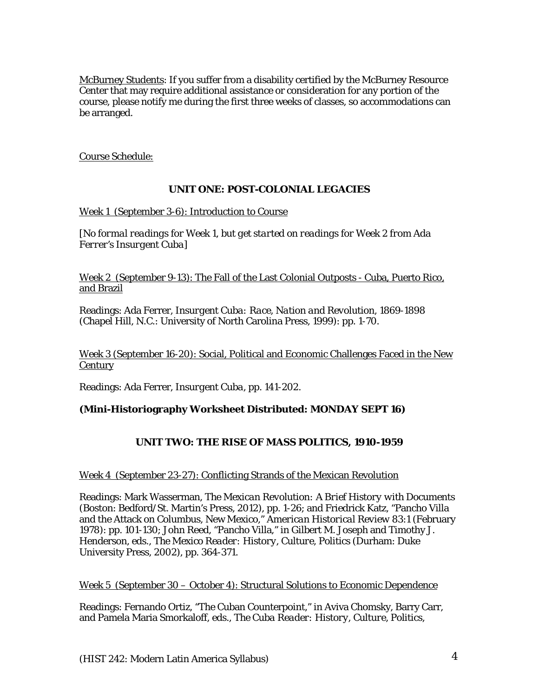McBurney Students: If you suffer from a disability certified by the McBurney Resource Center that may require additional assistance or consideration for any portion of the course, please notify me during the first three weeks of classes, so accommodations can be arranged.

Course Schedule:

## **UNIT ONE: POST-COLONIAL LEGACIES**

*Week 1* (September 3-6): Introduction to Course

[*No formal readings for Week 1, but get started on readings for Week 2 from Ada Ferrer's Insurgent Cuba*]

*Week 2* (September 9-13): The Fall of the Last Colonial Outposts - Cuba, Puerto Rico, and Brazil

Readings: Ada Ferrer, *Insurgent Cuba: Race, Nation and Revolution, 1869-1898* (Chapel Hill, N.C.: University of North Carolina Press, 1999): pp. 1-70.

*Week 3* (September 16-20): Social, Political and Economic Challenges Faced in the New **Century** 

Readings: Ada Ferrer, *Insurgent Cuba,* pp. 141-202.

## **(Mini-Historiography Worksheet Distributed: MONDAY SEPT 16)**

# **UNIT TWO: THE RISE OF MASS POLITICS, 1910-1959**

## *Week 4* (September 23-27): Conflicting Strands of the Mexican Revolution

Readings: Mark Wasserman, *The Mexican Revolution: A Brief History with Documents*  (Boston: Bedford/St. Martin's Press, 2012), pp. 1-26; and Friedrick Katz, "Pancho Villa and the Attack on Columbus, New Mexico," *American Historical Review* 83:1 (February 1978): pp. 101-130; John Reed, "Pancho Villa," in Gilbert M. Joseph and Timothy J. Henderson, eds., *The Mexico Reader: History, Culture, Politics* (Durham: Duke University Press, 2002), pp. 364-371.

#### *Week 5* (September 30 – October 4): Structural Solutions to Economic Dependence

Readings: Fernando Ortiz, "The Cuban Counterpoint," in Aviva Chomsky, Barry Carr, and Pamela Maria Smorkaloff, eds., *The Cuba Reader: History, Culture, Politics*,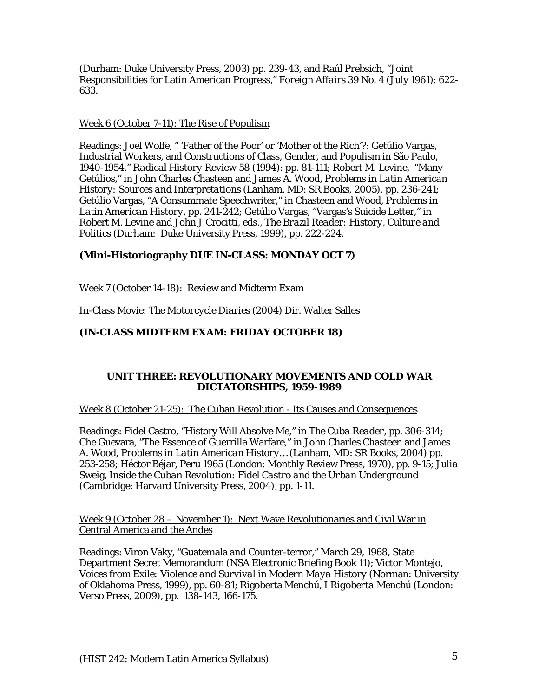(Durham: Duke University Press, 2003) pp. 239-43, and Raúl Prebsich, "Joint Responsibilities for Latin American Progress," *Foreign Affairs* 39 No. 4 (July 1961): 622- 633.

#### *Week 6* (October 7-11): The Rise of Populism

Readings: Joel Wolfe, " 'Father of the Poor' or 'Mother of the Rich'?: Getúlio Vargas, Industrial Workers, and Constructions of Class, Gender, and Populism in São Paulo, 1940-1954." *Radical History Review* 58 (1994): pp. 81-111; Robert M. Levine, "Many Getúlios," in John Charles Chasteen and James A. Wood, *Problems in Latin American History: Sources and Interpretations* (Lanham, MD: SR Books, 2005), pp. 236-241; Getúlio Vargas, "A Consummate Speechwriter," in Chasteen and Wood*, Problems in Latin American History,* pp. 241-242; Getúlio Vargas, "Vargas's Suicide Letter," in Robert M. Levine and John J Crocitti, eds., *The Brazil Reader: History, Culture and Politics* (Durham: Duke University Press, 1999), pp. 222-224.

# **(Mini-Historiography DUE IN-CLASS: MONDAY OCT 7)**

*Week 7* (October 14-18): Review and Midterm Exam

In-Class Movie: *The Motorcycle Diaries* (2004) Dir. Walter Salles

## **(IN-CLASS MIDTERM EXAM: FRIDAY OCTOBER 18)**

#### **UNIT THREE: REVOLUTIONARY MOVEMENTS AND COLD WAR DICTATORSHIPS, 1959-1989**

*Week 8* (October 21-25): The Cuban Revolution - Its Causes and Consequences

Readings: Fidel Castro, "History Will Absolve Me," in *The Cuba Reader*, pp. 306-314; Che Guevara, "The Essence of Guerrilla Warfare," in John Charles Chasteen and James A. Wood, *Problems in Latin American History…* (Lanham, MD: SR Books, 2004) pp. 253-258; Héctor Béjar, *Peru 1965* (London: Monthly Review Press, 1970), pp. 9-15; Julia Sweig, *Inside the Cuban Revolution: Fidel Castro and the Urban Underground* (Cambridge: Harvard University Press, 2004), pp. 1-11.

*Week 9* (October 28 – November 1): Next Wave Revolutionaries and Civil War in Central America and the Andes

Readings: Viron Vaky, "Guatemala and Counter-terror," March 29, 1968, State Department Secret Memorandum (NSA Electronic Briefing Book 11); Victor Montejo, *Voices from Exile: Violence and Survival in Modern Maya History* (Norman: University of Oklahoma Press, 1999), pp. 60-81; Rigoberta Menchú, *I Rigoberta Menchú* (London: Verso Press, 2009), pp. 138-143, 166-175.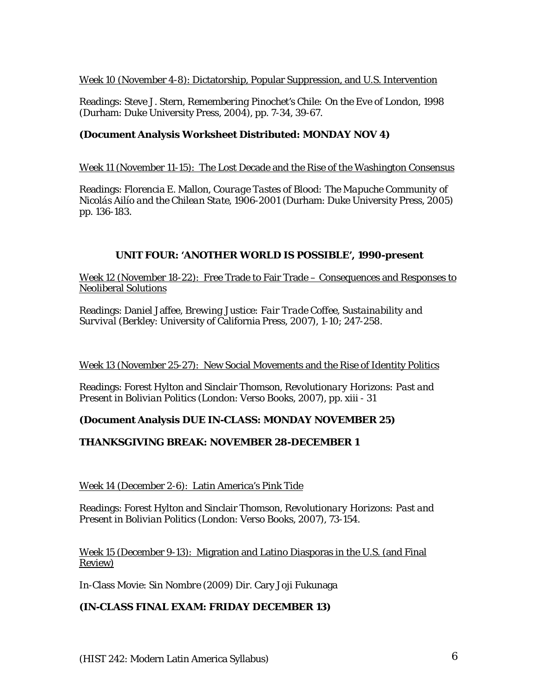## *Week 10* (November 4-8): Dictatorship, Popular Suppression, and U.S. Intervention

Readings: Steve J. Stern, *Remembering Pinochet's Chile: On the Eve of London, 1998* (Durham: Duke University Press, 2004), pp. 7-34, 39-67.

# **(Document Analysis Worksheet Distributed: MONDAY NOV 4)**

## *Week 11* (November 11-15): The Lost Decade and the Rise of the Washington Consensus

Readings: Florencia E. Mallon, *Courage Tastes of Blood: The Mapuche Community of Nicolás Ailío and the Chilean State, 1906-2001* (Durham: Duke University Press, 2005) pp. 136-183*.*

## **UNIT FOUR: 'ANOTHER WORLD IS POSSIBLE', 1990-present**

*Week 12* (November 18-22): Free Trade to Fair Trade – Consequences and Responses to Neoliberal Solutions

Readings: Daniel Jaffee, *Brewing Justice: Fair Trade Coffee, Sustainability and Survival* (Berkley: University of California Press, 2007), 1-10; 247-258.

## *Week 13* (November 25-27): New Social Movements and the Rise of Identity Politics

Readings: Forest Hylton and Sinclair Thomson, *Revolutionary Horizons: Past and Present in Bolivian Politics* (London: Verso Books, 2007), pp. xiii - 31

## **(Document Analysis DUE IN-CLASS: MONDAY NOVEMBER 25)**

# **THANKSGIVING BREAK: NOVEMBER 28-DECEMBER 1**

## *Week 14* (December 2-6): Latin America's Pink Tide

Readings: Forest Hylton and Sinclair Thomson, *Revolutionary Horizons: Past and Present in Bolivian Politics* (London: Verso Books, 2007), 73-154.

*Week 15* (December 9-13): Migration and Latino Diasporas in the U.S. (and Final Review)

In-Class Movie: *Sin Nombre* (2009) Dir. Cary Joji Fukunaga

## **(IN-CLASS FINAL EXAM: FRIDAY DECEMBER 13)**